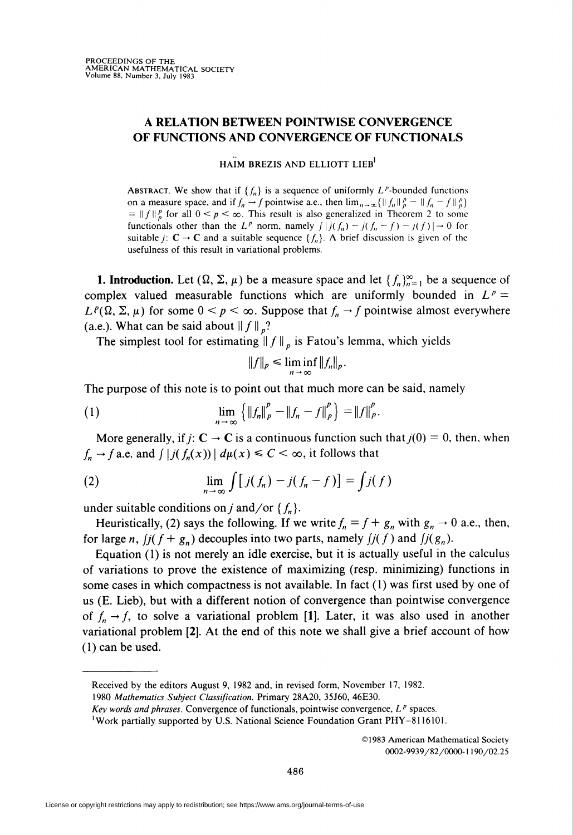## A RELATION BETWEEN POINTWISE CONVERGENCE OF FUNCTIONS AND CONVERGENCE OF FUNCTIONALS

HAIM BREZIS AND ELLIOTT LIEB

ABSTRACT. We show that if  $\{f_n\}$  is a sequence of uniformly L<sup>p</sup>-bounded functions on a measure space, and if  $f_n \to f$  pointwise a.e., then  $\lim_{n \to \infty} {\{\|f_n\|_p^p - \|f_n - f\|_p^p\}}$  $= ||f||_p^p$  for all  $0 \le p \le \infty$ . This result is also generalized in Theorem 2 to some functionals other than the L<sup>p</sup> norm, namely  $\int |j(f_n) - j(f_n - f) - j(f)| \to 0$  for suitable *j*:  $C \rightarrow C$  and a suitable sequence  $\{f_n\}$ . A brief discussion is given of the usefulness of this result in variational problems.

**1. Introduction.** Let  $(\Omega, \Sigma, \mu)$  be a measure space and let  $\{f_n\}_{n=1}^{\infty}$  be a sequence of complex valued measurable functions which are uniformly bounded in  $L^p =$  $L^p(\Omega, \Sigma, \mu)$  for some  $0 \le p \le \infty$ . Suppose that  $f_n \to f$  pointwise almost everywhere (a.e.). What can be said about  $|| f ||_n$ ?

The simplest tool for estimating  $|| f ||_p$  is Fatou's lemma, which yields

$$
||f||_p \leq \liminf_{n \to \infty} ||f_n||_p.
$$

The purpose of this note is to point out that much more can be said, namely

(1) 
$$
\lim_{n \to \infty} \left\{ \|f_n\|_p^p - \|f_n - f\|_p^p \right\} = \|f\|_p^p.
$$

More generally, if  $j: \mathbb{C} \to \mathbb{C}$  is a continuous function such that  $j(0) = 0$ , then, when  $f_n \to f$  a.e. and  $\int |j(f_n(x))| d\mu(x) \leq C < \infty$ , it follows that

(2) 
$$
\lim_{n \to \infty} \int [j(f_n) - j(f_n - f)] = \int j(f)
$$

under suitable conditions on j and/or  $\{f_n\}$ .

Heuristically, (2) says the following. If we write  $f_n = f + g_n$  with  $g_n \to 0$  a.e., then, for large n,  $j(f+g_n)$  decouples into two parts, namely  $j(f)$  and  $j(g_n)$ .

Equation (1) is not merely an idle exercise, but it is actually useful in the calculus of variations to prove the existence of maximizing (resp. minimizing) functions in some cases in which compactness is not available. In fact (1) was first used by one of us (E. Lieb), but with a different notion of convergence than pointwise convergence of  $f_n \rightarrow f$ , to solve a variational problem [1]. Later, it was also used in another variational problem [2]. At the end of this note we shall give a brief account of how (1) can be used.

©1983 American Mathematical Society 0002-9939/82/0000-1190/02.25

Received by the editors August 9, 1982 and, in revised form, November 17, 1982.

<sup>1980</sup> Mathematics Subject Classification. Primary 28A20, 35J60, 46E30.

Key words and phrases. Convergence of functionals, pointwise convergence,  $L^p$  spaces.

<sup>&#</sup>x27;Work partially supported by U.S. National Science Foundation Grant PHY-8116101.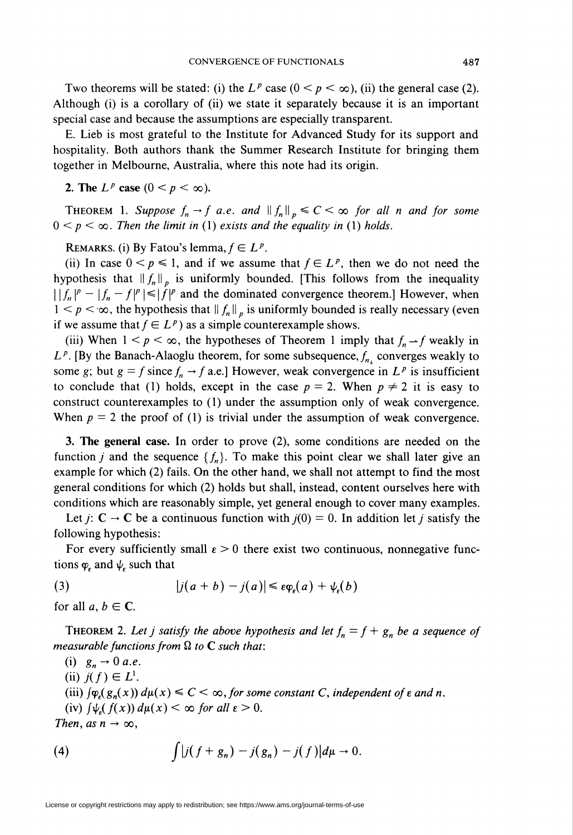Two theorems will be stated: (i) the  $L^p$  case  $(0 \lt p \lt \infty)$ , (ii) the general case (2). Although (i) is a corollary of (ii) we state it separately because it is an important special case and because the assumptions are especially transparent.

E. Lieb is most grateful to the Institute for Advanced Study for its support and hospitality. Both authors thank the Summer Research Institute for bringing them together in Melbourne, Australia, where this note had its origin.

2. The  $L^p$  case  $(0 < p < \infty)$ .

THEOREM 1. Suppose  $f_n \to f$  a.e. and  $\| f_n \|_p \leq C < \infty$  for all n and for some  $0 < p < \infty$ . Then the limit in (1) exists and the equality in (1) holds.

REMARKS. (i) By Fatou's lemma,  $f \in L^p$ .

(ii) In case  $0 \le p \le 1$ , and if we assume that  $f \in L^p$ , then we do not need the hypothesis that  $\|f_n\|_n$  is uniformly bounded. [This follows from the inequality  $||f_n|^p - |f_n - f|^p|| \le |f|^p$  and the dominated convergence theorem.] However, when  $1 \leq p \leq \infty$ , the hypothesis that  $|| f_n ||_p$  is uniformly bounded is really necessary (even if we assume that  $f \in L^p$ ) as a simple counterexample shows.

(iii) When  $1 \le p \le \infty$ , the hypotheses of Theorem 1 imply that  $f_n \rightarrow f$  weakly in  $L^p$ . [By the Banach-Alaoglu theorem, for some subsequence,  $f_{n_k}$  converges weakly to some g; but  $g = f$  since  $f_n \rightarrow f$  a.e.] However, weak convergence in  $L^p$  is insufficient to conclude that (1) holds, except in the case  $p = 2$ . When  $p \neq 2$  it is easy to construct counterexamples to (1) under the assumption only of weak convergence. When  $p = 2$  the proof of (1) is trivial under the assumption of weak convergence.

3. The general case. In order to prove (2), some conditions are needed on the function *j* and the sequence  ${f_n}$ . To make this point clear we shall later give an example for which (2) fails. On the other hand, we shall not attempt to find the most general conditions for which (2) holds but shall, instead, content ourselves here with conditions which are reasonably simple, yet general enough to cover many examples.

Let  $j: \mathbb{C} \to \mathbb{C}$  be a continuous function with  $j(0) = 0$ . In addition let j satisfy the following hypothesis:

For every sufficiently small  $\epsilon > 0$  there exist two continuous, nonnegative functions  $\varphi$  and  $\psi$  such that

(3) 
$$
|j(a+b)-j(a)| \leq \varepsilon \varphi_{\varepsilon}(a) + \psi_{\varepsilon}(b)
$$

for all  $a, b \in \mathbb{C}$ .

THEOREM 2. Let j satisfy the above hypothesis and let  $f_n = f + g_n$  be a sequence of measurable functions from  $\Omega$  to C such that:

(i)  $g_n \rightarrow 0$  a.e.

(ii)  $j(f) \in L^1$ .

(iii)  $\int \varphi_{\epsilon}(g_n(x)) d\mu(x) \leq C < \infty$ , for some constant C, independent of  $\epsilon$  and n.

(iv)  $\int \psi_{\epsilon}(f(x)) d\mu(x) < \infty$  for all  $\epsilon > 0$ .

Then, as  $n \to \infty$ ,

(4) 
$$
\int |j(f + g_n) - j(g_n) - j(f)| d\mu \to 0.
$$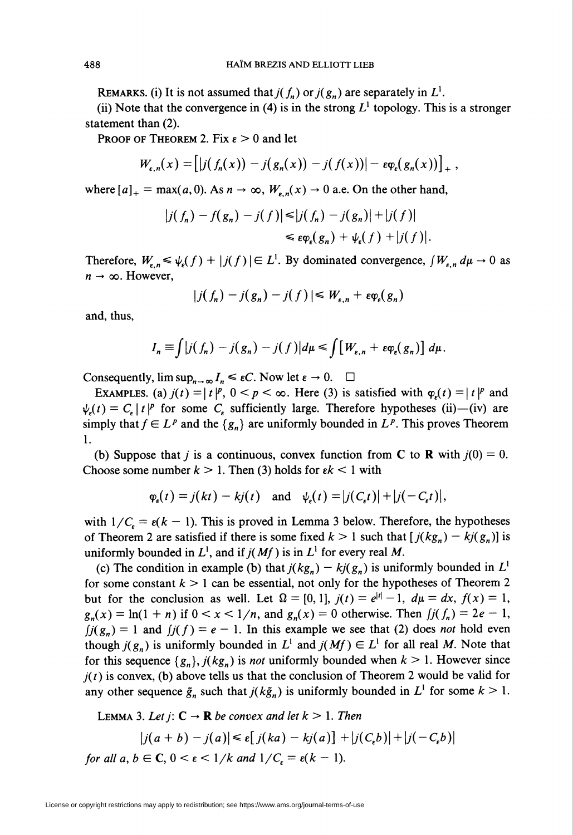REMARKS. (i) It is not assumed that  $j(f_n)$  or  $j(g_n)$  are separately in  $L^1$ .

(ii) Note that the convergence in (4) is in the strong  $L^1$  topology. This is a stronger statement than (2).

PROOF OF THEOREM 2. Fix  $\varepsilon > 0$  and let

$$
W_{\varepsilon,n}(x) = \left[|j(f_n(x)) - j(g_n(x)) - j(f(x))| - \varepsilon \varphi_{\varepsilon}(g_n(x))\right]_+,
$$

where  $[a]_+$  = max(a, 0). As  $n \to \infty$ ,  $W_{n,n}(x) \to 0$  a.e. On the other hand,

$$
|j(f_n) - f(g_n) - j(f)| \le |j(f_n) - j(g_n)| + |j(f)|
$$
  

$$
\le \epsilon \varphi_{\epsilon}(g_n) + \psi_{\epsilon}(f) + |j(f)|.
$$

Therefore,  $W_{\varepsilon,n} \leq \psi_{\varepsilon}(f) + |j(f)| \in L^1$ . By dominated convergence,  $\int W_{\varepsilon,n} d\mu \to 0$  as  $n \rightarrow \infty$ . However,

$$
|j(f_n)-j(g_n)-j(f)| \leq W_{\varepsilon,n}+\varepsilon \varphi_{\varepsilon}(g_n)
$$

and, thus,

$$
I_n \equiv \int |j(f_n) - j(g_n) - j(f)| d\mu \le \int [W_{\varepsilon,n} + \varepsilon \varphi_{\varepsilon}(g_n)] d\mu.
$$

Consequently,  $\limsup_{n \to \infty} I_n \leq \varepsilon C$ . Now let  $\varepsilon \to 0$ .  $\Box$ 

EXAMPLES. (a)  $j(t) = | t |^p$ ,  $0 < p < \infty$ . Here (3) is satisfied with  $\varphi_n(t) = | t |^p$  and  $\psi_{\epsilon}(t) = C_{\epsilon} | t |^{p}$  for some C<sub>e</sub> sufficiently large. Therefore hypotheses (ii)—(iv) are simply that  $f \in L^p$  and the  $\{g_n\}$  are uniformly bounded in  $L^p$ . This proves Theorem 1.

(b) Suppose that j is a continuous, convex function from C to R with  $j(0) = 0$ . Choose some number  $k > 1$ . Then (3) holds for  $\epsilon k < 1$  with

$$
\varphi_{\epsilon}(t) = j(kt) - kj(t)
$$
 and  $\psi_{\epsilon}(t) = |j(C_{\epsilon}t)| + |j(-C_{\epsilon}t)|$ ,

with  $1/C<sub>r</sub> = \varepsilon(k - 1)$ . This is proved in Lemma 3 below. Therefore, the hypotheses of Theorem 2 are satisfied if there is some fixed  $k > 1$  such that  $[j(kg_n) - kj(g_n)]$  is uniformly bounded in  $L^1$ , and if  $j(Mf)$  is in  $L^1$  for every real M.

(c) The condition in example (b) that  $j(kg_n) - kj(g_n)$  is uniformly bounded in  $L^1$ for some constant  $k > 1$  can be essential, not only for the hypotheses of Theorem 2 but for the conclusion as well. Let  $\Omega = [0, 1]$ ,  $j(t) = e^{|t|} - 1$ ,  $d\mu = dx$ ,  $f(x) = 1$ ,  $g_n(x) = \ln(1 + n)$  if  $0 < x < 1/n$ , and  $g_n(x) = 0$  otherwise. Then  $f_n(f) = 2e - 1$ ,  $f_j(g_n) = 1$  and  $f_j(f) = e - 1$ . In this example we see that (2) does not hold even though  $j(g_n)$  is uniformly bounded in  $L^1$  and  $j(Mf) \in L^1$  for all real M. Note that for this sequence  $\{g_n\}$ ,  $j(kg_n)$  is *not* uniformly bounded when  $k > 1$ . However since  $j(t)$  is convex, (b) above tells us that the conclusion of Theorem 2 would be valid for any other sequence  $\tilde{g}_n$  such that  $j(k\tilde{g}_n)$  is uniformly bounded in  $L^1$  for some  $k > 1$ .

LEMMA 3. Let 
$$
j: \mathbb{C} \to \mathbb{R}
$$
 be convex and let  $k > 1$ . Then  
\n
$$
|j(a+b) - j(a)| \le \varepsilon [j(ka) - kj(a)] + |j(C_\varepsilon b)| + |j(-C_\varepsilon b)|
$$
\nfor all  $a, b \in \mathbb{C}, 0 < \varepsilon < 1/k$  and  $1/C_\varepsilon = \varepsilon (k - 1)$ .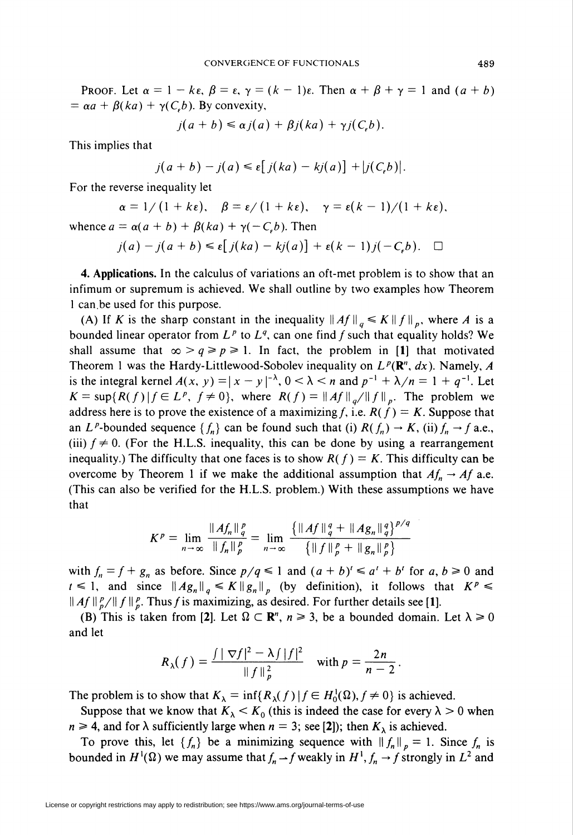PROOF. Let  $\alpha = 1 - k\varepsilon$ ,  $\beta = \varepsilon$ ,  $\gamma = (k - 1)\varepsilon$ . Then  $\alpha + \beta + \gamma = 1$  and  $(a + b)$  $= \alpha a + \beta (ka) + \gamma (C_e b)$ . By convexity,

$$
j(a+b) \leq \alpha j(a) + \beta j(ka) + \gamma j(C_b).
$$

This implies that

$$
j(a+b)-j(a)\leq \varepsilon[j(ka)-kj(a)]+|j(C_{\varepsilon}b)|.
$$

For the reverse inequality let

$$
\alpha = 1/(1 + k\epsilon), \quad \beta = \epsilon/(1 + k\epsilon), \quad \gamma = \epsilon(k-1)/(1 + k\epsilon),
$$

whence  $a = \alpha(a + b) + \beta(ka) + \gamma(-C_{\epsilon}b)$ . Then

$$
j(a) - j(a+b) \leq \varepsilon [j(ka) - kj(a)] + \varepsilon (k-1)j(-C_{\varepsilon}b). \quad \Box
$$

4. Applications. In the calculus of variations an oft-met problem is to show that an infimum or supremum is achieved. We shall outline by two examples how Theorem 1 can.be used for this purpose.

(A) If K is the sharp constant in the inequality  $\|Af\|_{a} \leq K\|f\|_{p}$ , where A is a bounded linear operator from  $L^p$  to  $L^q$ , can one find f such that equality holds? We shall assume that  $\infty > q \geq p \geq 1$ . In fact, the problem in [1] that motivated Theorem 1 was the Hardy-Littlewood-Sobolev inequality on  $L^p(\mathbb{R}^n, dx)$ . Namely, A is the integral kernel  $A(x, y) = |x - y|^{-\lambda}$ ,  $0 < \lambda < n$  and  $p^{-1} + \lambda/n = 1 + q^{-1}$ . Let  $K=\sup\{R(f)\,|\,f\in L^p, f\neq 0\}$ , where  $R(f)=\|Af\|_{g}/\|f\|_{p}$ . The problem we address here is to prove the existence of a maximizing f, i.e.  $R(f) = K$ . Suppose that an L<sup>p</sup>-bounded sequence  $\{f_n\}$  can be found such that (i)  $R(f_n) \to K$ , (ii)  $f_n \to f$  a.e., (iii)  $f \neq 0$ . (For the H.L.S. inequality, this can be done by using a rearrangement inequality.) The difficulty that one faces is to show  $R(f) = K$ . This difficulty can be overcome by Theorem 1 if we make the additional assumption that  $Af_n \to Af$  a.e. (This can also be verified for the H.L.S. problem.) With these assumptions we have that

$$
K^{p} = \lim_{n \to \infty} \frac{\|Af_{n}\|_{q}^{p}}{\|f_{n}\|_{p}^{p}} = \lim_{n \to \infty} \frac{\{\|Af\|_{q}^{q} + \|Ag_{n}\|_{q}^{q}\}^{p/q}}{\{\|f\|_{p}^{p} + \|g_{n}\|_{p}^{p}\}}
$$

with  $f_n = f + g_n$  as before. Since  $p/q \le 1$  and  $(a + b)' \le a' + b'$  for  $a, b \ge 0$  and  $t \leq 1$ , and since  $\|Ag_n\|_{q} \leq K\|g_n\|_{p}$  (by definition), it follows that  $K^p \leq$  $\|Af\|_p^p/\|f\|_p^p$ . Thus f is maximizing, as desired. For further details see [1].

(B) This is taken from [2]. Let  $\Omega \subset \mathbb{R}^n$ ,  $n \ge 3$ , be a bounded domain. Let  $\lambda \ge 0$ and let

$$
R_{\lambda}(f) = \frac{\int |\nabla f|^2 - \lambda f |f|^2}{\|f\|_p^2} \quad \text{with } p = \frac{2n}{n-2}.
$$

The problem is to show that  $K_{\lambda} = \inf \{ R_{\lambda}(f) | f \in H_0^1(\Omega), f \neq 0 \}$  is achieved.

Suppose that we know that  $K_{\lambda} < K_0$  (this is indeed the case for every  $\lambda > 0$  when  $n \ge 4$ , and for  $\lambda$  sufficiently large when  $n = 3$ ; see [2]); then  $K_{\lambda}$  is achieved.

To prove this, let  $\{f_n\}$  be a minimizing sequence with  $\|f_n\|_p = 1$ . Since  $f_n$  is bounded in  $H^1(\Omega)$  we may assume that  $f_n \to f$  weakly in  $H^1, f_n \to f$  strongly in  $L^2$  and